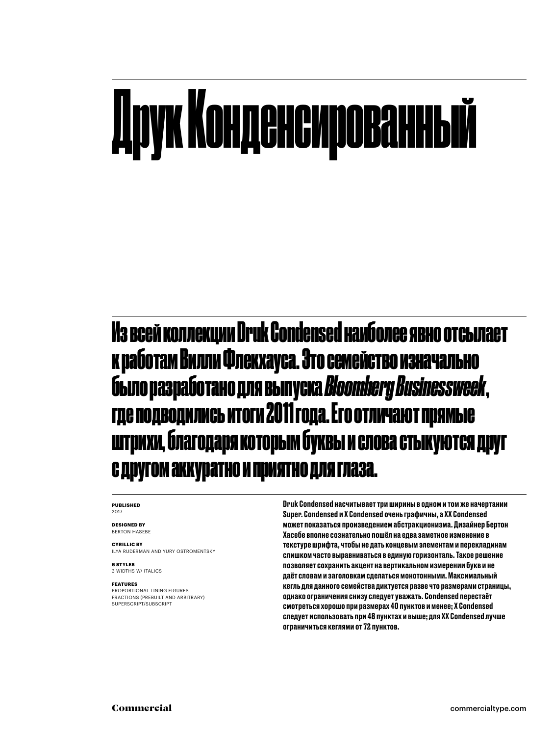### Друк Конденсированный

Из всей коллекции Druk Condensed наиболее явно отсылает к работам Вилли Флекхауса. Это семейство изначально было разработано для выпуска *Bloomberg Businessweek*, где подводились итоги 2011 года. Его отличают прямые штрихи, благодаря которым буквы и слова стыкуются друг с другом аккуратно и приятно для глаза.

### **PUBLISHED** 2017

**DESIGNED BY** BERTON HASEBE

### **CYRILLIC BY**

ILYA RUDERMAN AND YURY OSTROMENTSKY

**6 STYLES** 3 WIDTHS W/ ITALICS

### **FEATURES**

PROPORTIONAL LINING FIGURES FRACTIONS (PREBUILT AND ARBITRARY) SUPERSCRIPT/SUBSCRIPT

Druk Condensed насчитывает три ширины в одном и том же начертании Super. Condensed и X Condensed очень графичны, а XX Condensed может показаться произведением абстракционизма. Дизайнер Бертон Хасебе вполне сознательно пошёл на едва заметное изменение в текстуре шрифта, чтобы не дать концевым элементам и перекладинам слишком часто выравниваться в единую горизонталь. Такое решение позволяет сохранить акцент на вертикальном измерении букв и не даёт словам и заголовкам сделаться монотонными. Максимальный кегль для данного семейства диктуется разве что размерами страницы, однако ограничения снизу следует уважать. Condensed перестаёт смотреться хорошо при размерах 40 пунктов и менее; X Condensed следует использовать при 48 пунктах и выше; для XX Condensed лучше ограничиться кеглями от 72 пунктов.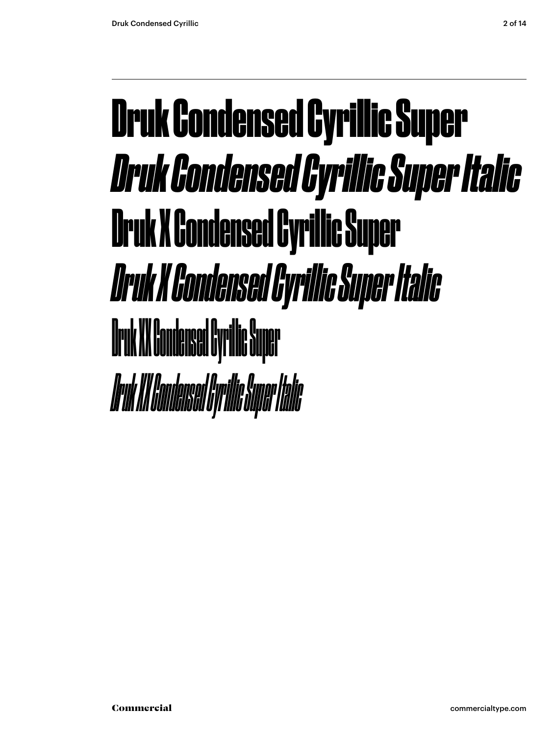### Druk Condensed Cyrillic Super *Druk Condensed Cyrillic Super Italic* Druk X Condensed Cyrillic Super *Druk X Condensed Cyrillic Super Italic* Druk XX Condensed Cyrilic Super *Druk XX Condensed Cyrilic Super Italic*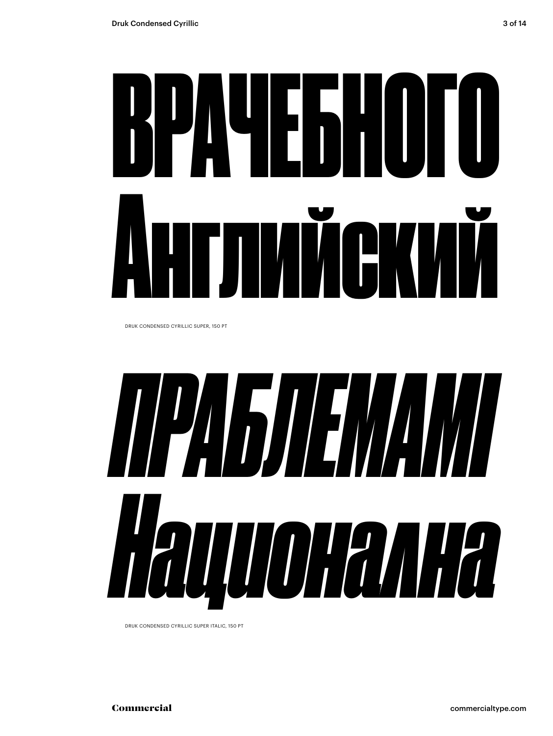

DRUK CONDENSED CYRILLIC SUPER, 150 PT



DRUK CONDENSED CYRILLIC SUPER ITALIC, 150 PT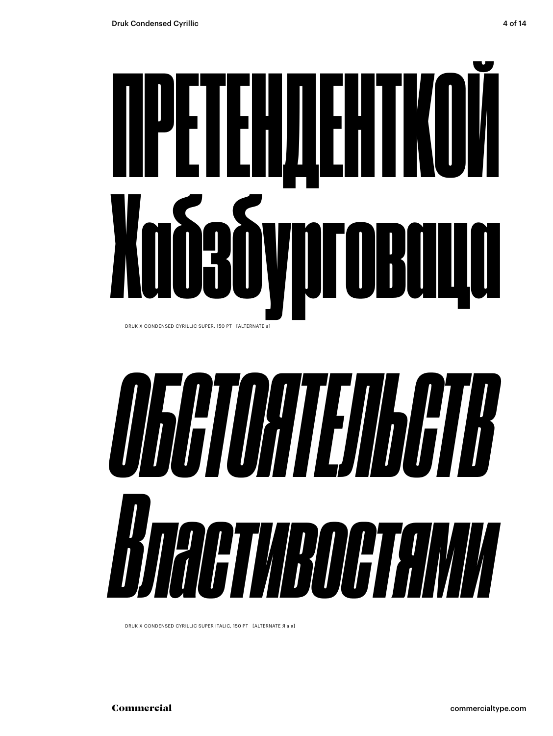



DRUK X CONDENSED CYRILLIC SUPER ITALIC, 150 PT [ALTERNATE Я а я]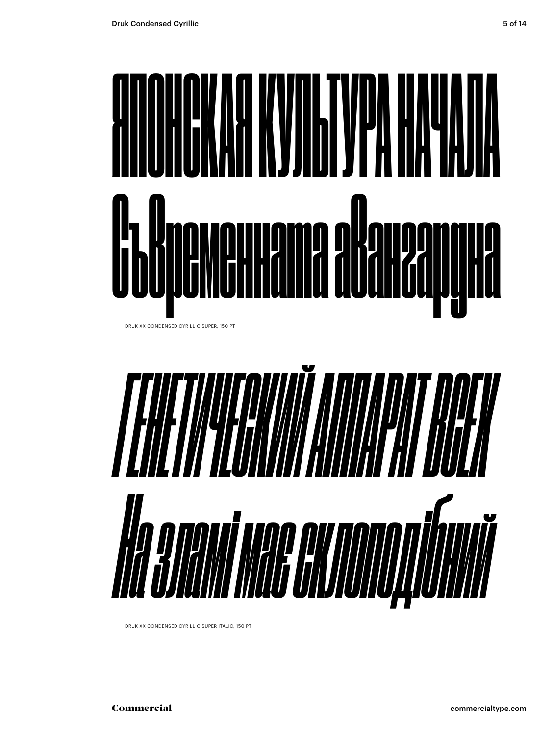

DRUK XX CONDENSED CYRILLIC SUPER, 150 PT



DRUK XX CONDENSED CYRILLIC SUPER ITALIC, 150 PT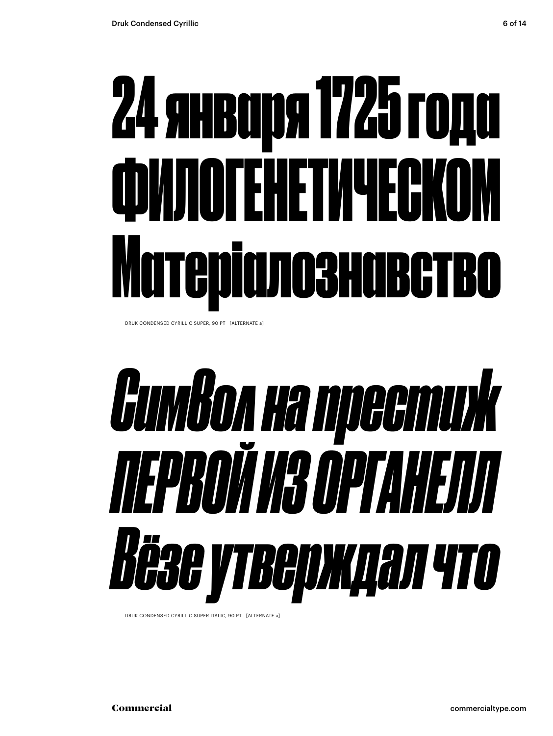# 24 января 1725 года ФИЛОГЕНЕТИЧЕСКОМ Матеріалознавство

DRUK CONDENSED CYRILLIC SUPER, 90 PT [ALTERNATE a]

# *Символ на престиж ПЕРВОЙ ИЗ ОРГАНЕЛЛ Вёзе утверждал что*

DRUK CONDENSED CYRILLIC SUPER ITALIC, 90 PT [ALTERNATE a]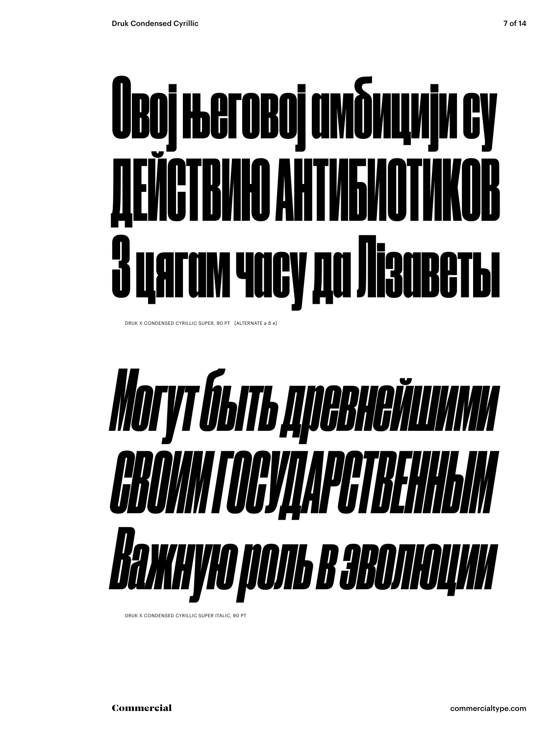# Овој његовој амбицији су ДЕЙСТВИЮ АНТИБИОТИКОВ цягам часу да Лізаветы

DRUK X CONDENSED CYRILLIC SUPER, 90 PT [ALTERNATE a б я]



DRUK X CONDENSED CYRILLIC SUPER ITALIC, 90 P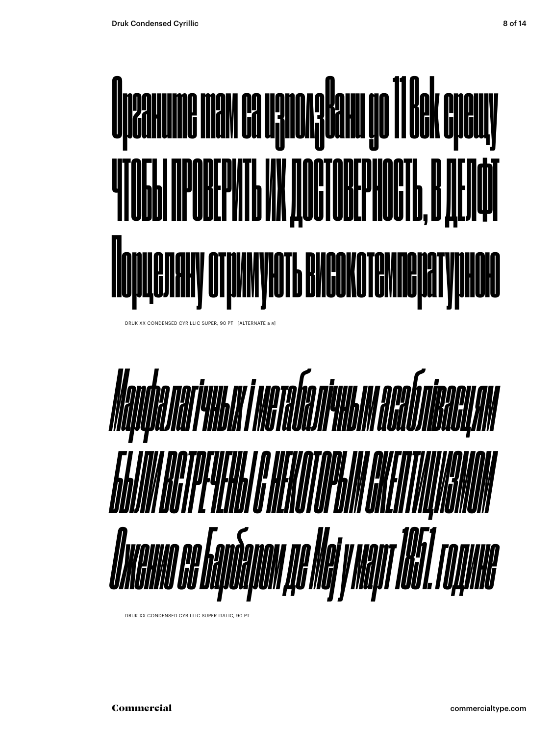

DRUK XX CONDENSED CYRILLIC SUPER, 90 PT [ALTERNATE a я]



DRUK XX CONDENSED CYRILLIC SUPER ITALIC, 90 PT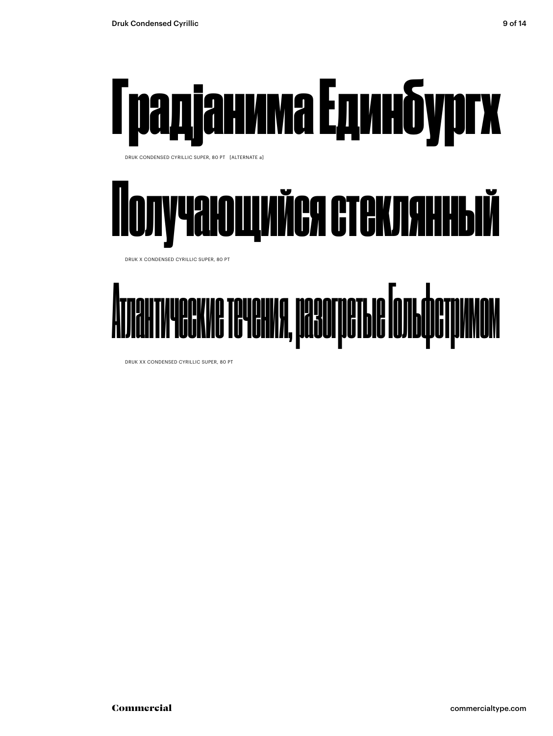

DRUK CONDENSED CYRILLIC SUPER, 80 PT [ALTERNATE a]



DRUK X CONDENSED CYRILLIC SUPER, 80 PT



DRUK XX CONDENSED CYRILLIC SUPER, 80 PT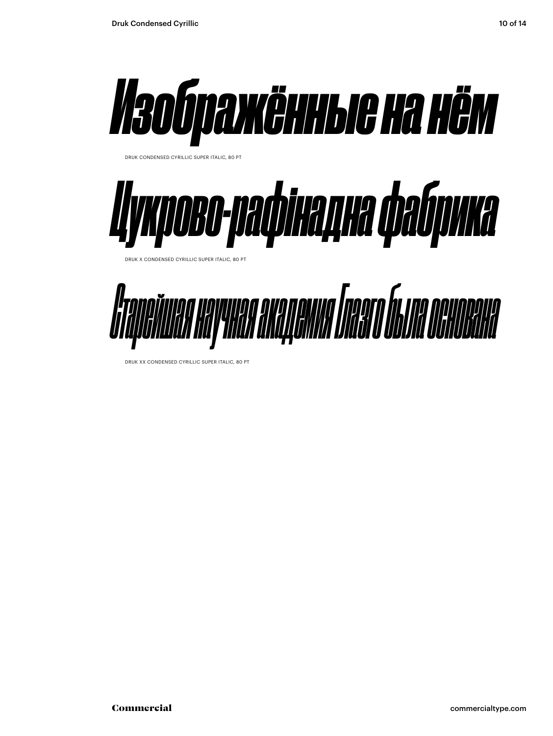



DRUK X CONDENSED CYRILLIC SUPER ITALIC, 80 PT



DRUK XX CONDENSED CYRILLIC SUPER ITALIC, 80 PT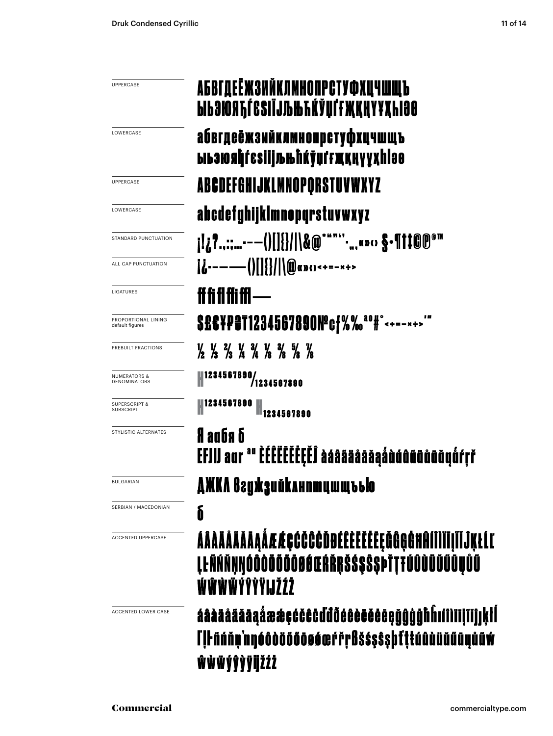| <b>UPPERCASE</b>                        | АБВГДЕЁЖЗИЙКЛМНОПРСТУФХЦЧШЩ <b>Ъ</b><br><b>ЫЬЗЮЯЋЃЄЅІЇЈЉЊЋЌЎЏЃҒҖҚҢҮҰҲҺІӘӨ</b>                                                                                                                                                                                                                                                                                                                                                  |
|-----------------------------------------|--------------------------------------------------------------------------------------------------------------------------------------------------------------------------------------------------------------------------------------------------------------------------------------------------------------------------------------------------------------------------------------------------------------------------------|
| LOWERCASE                               | абвгдеёжзийклмнопрстуфхцчшщъ<br>ыьзюяђѓеѕіїјљњћќўџґғҗқңүұҳһlэѳ                                                                                                                                                                                                                                                                                                                                                                 |
| <b>UPPERCASE</b>                        | ABCDEFGHIJKLMNOPQRSTUVWXYZ                                                                                                                                                                                                                                                                                                                                                                                                     |
| LOWERCASE                               | abcdefghijklmnopqrstuvwxyz                                                                                                                                                                                                                                                                                                                                                                                                     |
| STANDARD PUNCTUATION                    |                                                                                                                                                                                                                                                                                                                                                                                                                                |
| ALL CAP PUNCTUATION                     | $\left  \mathbf{L} \right $ ---- $\left  \right $ $\left  \right $ $\left  \right $ $\left  \right $ $\left  \right $ $\left  \right $ $\left  \right $ $\left  \right $ $\left  \right $ $\left  \right $ $\left  \right $ $\left  \right $ $\left  \right $ $\left  \right $ $\left  \right $ $\left  \right $ $\left  \right $ $\left  \right $ $\left  \right $ $\left  \right $ $\left  \right $ $\left  \right $ $\left$ |
| LIGATURES                               | ff fi fl ffi ffl ----                                                                                                                                                                                                                                                                                                                                                                                                          |
| PROPORTIONAL LINING<br>default figures  | S£C¥P@T1234567890Nºcf%% <sup>ao</sup> #°<+=-*+>"                                                                                                                                                                                                                                                                                                                                                                               |
| PREBUILT FRACTIONS                      | $\frac{1}{2}$ $\frac{1}{3}$ $\frac{2}{3}$ $\frac{1}{4}$ $\frac{3}{4}$ $\frac{1}{8}$ $\frac{3}{8}$ $\frac{5}{8}$ $\frac{7}{8}$                                                                                                                                                                                                                                                                                                  |
| <b>NUMERATORS &amp;</b><br>DENOMINATORS | 1234567890/<br>  1234567890                                                                                                                                                                                                                                                                                                                                                                                                    |
| <b>SUPERSCRIPT &amp;</b><br>SUBSCRIPT   | 1234567890<br>H <sub>1234567890</sub>                                                                                                                                                                                                                                                                                                                                                                                          |
| STYLISTIC ALTERNATES                    | a au Ga<br>EFJIJ aur "" EÉËËËËËËË àáâääåāǎaáàááûûüüåãŭýŕŗř                                                                                                                                                                                                                                                                                                                                                                     |
| <b>BULGARIAN</b>                        | ДЖКЛ вгужзийклнптцшщъъю                                                                                                                                                                                                                                                                                                                                                                                                        |
| SERBIAN / MACEDONIAN                    | δ                                                                                                                                                                                                                                                                                                                                                                                                                              |
| <b>ACCENTED UPPERCASE</b>               | ÁÂÀÄÄÄÄÄAAÅÆÆÇĆČČČĎĐÉÊÈËĔĔĒĘĞĜĢĠĦĤÍNĪĪJĨĬĴĶŁĹĽ<br><b>ĻĿÑŃŇŅŊÓÔÒŎŐŐŌØŐŒŔŘŖŠŚ\$Ŝ\$ÞŤŢŦŰÛÙÜŬŰŨŲŮŨ</b><br>ŴŴŴŴÝŶŶŸIJŽŹŻ                                                                                                                                                                                                                                                                                                            |
| <b>ACCENTED LOWER CASE</b>              | áâàäåäãāaáææçćčĉċďđðéêèëëēegǧĝġġħĥıíîìïijïǐĵjķłl<br>lll náňn nnóð döð öð sé ærr på š s s s þ t ttú ú du dú au ú av<br>ŵŵŵýŷỳÿijžźż                                                                                                                                                                                                                                                                                             |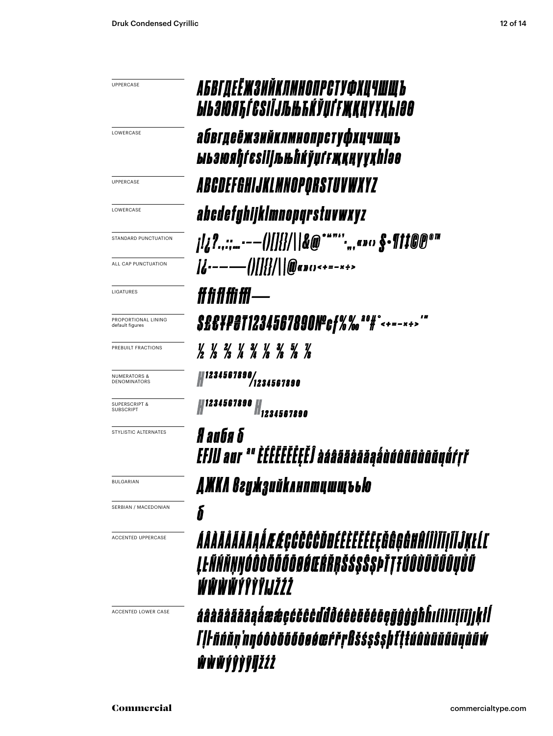| <b>UPPERCASE</b>                        | АБВГДЕЁЖЗИЙКЛМНОПРСТУФХЦЧШЩЪ<br><i><b>ЫЬЗЮЯЋЃЄЅІЇЈЉЊЋЌЎЏЃҒЖҚҢҮҰҚҺІӘӨ</b></i>                                |
|-----------------------------------------|-------------------------------------------------------------------------------------------------------------|
| LOWERCASE                               | абвгдеёжзийклмнопрстуфхцчшщъ<br>ыьзюяђѓеѕіїјљњћќўџґғҗқңүұҳһlәө                                              |
| UPPERCASE                               | ABCDEFGHIJKLMNOPORSTUVWXYZ                                                                                  |
| LOWERCASE                               | abcdefghijklmnopqrstuvwxyz                                                                                  |
| STANDARD PUNCTUATION                    |                                                                                                             |
| ALL CAP PUNCTUATION                     |                                                                                                             |
| <b>LIGATURES</b>                        | #fififfiffi—                                                                                                |
| PROPORTIONAL LINING<br>default figures  |                                                                                                             |
| PREBUILT FRACTIONS                      | 1/ 1/ 2/ 1/ 3/ 1/ 3/ 5/ 1/<br>/2 /3 /3 /4 /4 /8 /8 /8 /8                                                    |
| <b>NUMERATORS &amp;</b><br>DENOMINATORS | $\begin{array}{c} 1234567890/1234567890 \end{array}$                                                        |
| <b>SUPERSCRIPT &amp;</b><br>SUBSCRIPT   | <i>1234567890</i><br>M1234567890                                                                            |
| STYLISTIC ALTERNATES                    | anda d<br>EFJIJ aur "" ÉÉEEEEEEEËJ àáâãääāāáàààààâñûñōā                                                     |
| <b>BULGARIAN</b>                        | AMKA Baymayuunuuun bblo                                                                                     |
| SERBIAN / MACEDONIAN                    | δ                                                                                                           |
| <b>ACCENTED UPPERCASE</b>               | ÁÂÀÄÄÄÄÄAĄÅÆÆÇĆČČČĎĐÉÊĔĔĔĔĔĘĞĜĢĠĦĤÍÎÌĬĪļĨĬĴĶŁĹĽ<br>ĮŀÑŃŇŅŊÓÔÒŎŐŐŌØŔŒŔŘŖŠŚŞŜŞÞŤŢŦÚÛÙŬŬŰŨŲŮŰ<br>ŴŴŴŴÝŶŶŸIJŽŹŻ |

áâàäåäãāąåææçćčĉċddõéêèëëëeçğĝģģħĥıíîìiiļiïjjķłĺ ľ|ŀñńňņ'nŋóôòöõőōøéœŕřŗßšśşŝşþfţŧúûùüŭűūųůũŵ ŵŵŵýŷỳÿijžźż

ACCENTED LOWER CASE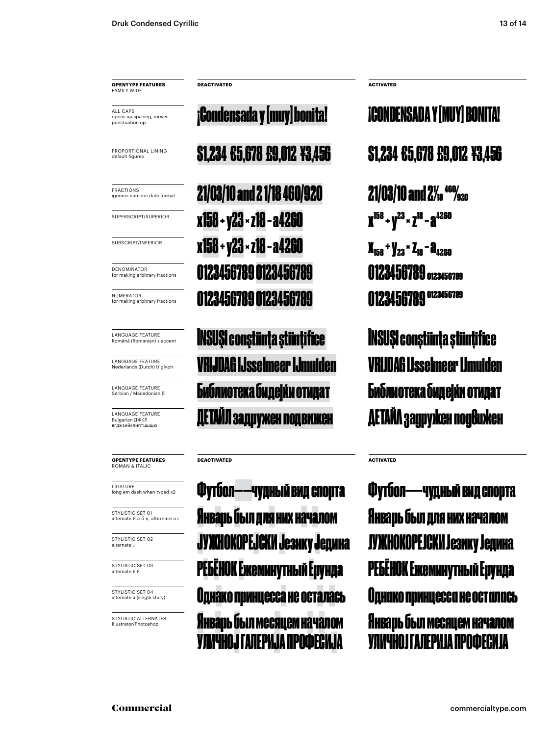**OPENTYPE FEATURES FAMILY WIDE** 

ALL CAPS opens up spacing, moves punctuation up

PROPORTIONAL LINING default figures

FRACTIONS ignores numeric date format

SUPERSCRIPT/SUPERIOR

SUBSCRIPT/INFERIOR

**DENOMINATOR** for making arbitrary fractions

NUMERATOR for making arbitrary fractions

Română (Romanian) s accent

Nederlands (Dutch) IJ glyph

Serbian / Macedonian б

LANGUAGE FEATURE Bulgarian ДЖКЛ<br>вгджзийклнптишшю

**OPENTYPE FEATURES** ROMAN & ITALIC

LIGATURE long em dash when typed x2

STYLISTIC SET 01 alternate Я а б я, alternate a r

STYLISTIC SET 02 alternate J

STYLISTIC SET 03 alternate E F

STYLISTIC SET 04 alternate a (single story)

STYLISTIC ALTERNATES Illustrator/Photoshop

**DEACTIVATED ACTIVATED**

 $21/03/10$  and 2 1/18 460/920  $21/03/10$  and 2<sup>1/</sup><sub>220</sub>  $x158 + y23 \times z18 - a4260$   $x^{158} + y^{23} \times z^{18} - a^{4260}$ x158 ÷ y23 × z18 − a4260 x<sub>158</sub> ÷ y<sub>23</sub> × z<sub>18</sub> − a<sub>4260</sub> 0123456789 0123456789 0123456789 0123456789 0123456789 0123456789 0123456789 0123456789

**RANGUAGE FEATURE ANGUAGE FEATURE INSUŞI conştiint¦a ştiint** $i$ **fice language language language language language language language language language language language language language language language language language la** LANGUAGE FEATURE **VRIJDAG LISSELmeer IJmuiden** VRIJDAG ISS**elmeer IImuiden** EANGUAGE FEATURE **ENÓЛИОТЕКА ÓИДЕјќи ОТИДАТ <b>Библиотека бидејќи отидат** 

**DEACTIVATED ACTIVATED**

Январь был для них началом Январь был для них началом Футбол——чудный вид спорта Футбол——чудный вид спорта РЕБЁНОК Ежеминутный Ерунда РЕБЁНОК Ежеминутный Ерунда Однако принцесса не осталась Однако принцесса не осталась варь был месяцем началом УЛИЧНОЈ ГАЛЕРИЈА ПРОФЕС

\$1,234 €5,678 £9,012 ¥3,456 \$1,234 €5,678 £9,012 ¥3,456 ¡Condensada y [muy] bonita! ¡CONDENSADA Y [MUY] BONITA!

ЙЛ задружен подвижен ПАТАЙЛ задружен подвижен

КОРЕЈСКИ Језику Једина и ЈУЖНОКОРЕЈСКИ Језику Једина Январь был месяцем началом УЛИЧНОЈ ГАЛЕРИЈА ПРОФЕСИЈА